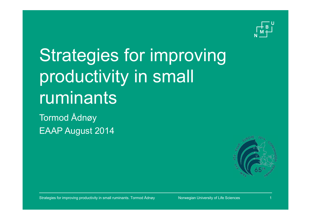

# Strategies for improving productivity in small ruminants

Tormod Ådnøy EAAP August 2014

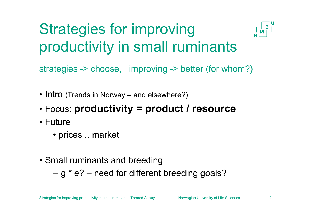## Strategies for improving productivity in small ruminants



strategies -> choose, improving -> better (for whom?)

- Intro (Trends in Norway and elsewhere?)
- •Focus: **productivity = product / resource**
- Future
	- prices .. market
- Small ruminants and breeding

g \* e? – need for different breeding goals?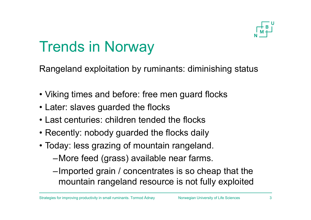

### Trends in Norway

Rangeland exploitation by ruminants: diminishing status

- Viking times and before: free men guard flocks
- Later: slaves guarded the flocks
- Last centuries: children tended the flocks
- Recently: nobody guarded the flocks daily
- Today: less grazing of mountain rangeland.
	- –More feed (grass) available near farms.
	- –Imported grain / concentrates is so cheap that the mountain rangeland resource is not fully exploited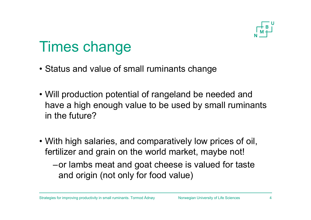

### Times change

- Status and value of small ruminants change
- Will production potential of rangeland be needed and have a high enough value to be used by small ruminants in the future?
- With high salaries, and comparatively low prices of oil, fertilizer and grain on the world market, maybe not!
	- –or lambs meat and goat cheese is valued for taste and origin (not only for food value)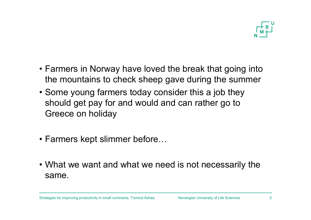

- Farmers in Norway have loved the break that going into the mountains to check sheep gave during the summer
- Some young farmers today consider this a job they should get pay for and would and can rather go to Greece on holiday
- Farmers kept slimmer before…
- What we want and what we need is not necessarily the same.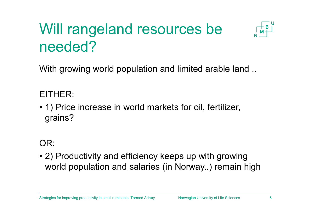## Will rangeland resources be needed?



With growing world population and limited arable land ..

### EITHER:

• 1) Price increase in world markets for oil, fertilizer, grains?

### OR:

• 2) Productivity and efficiency keeps up with growing world population and salaries (in Norway..) remain high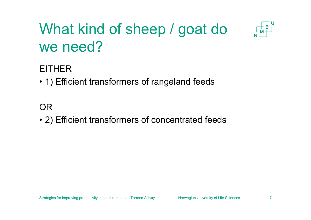## What kind of sheep / goat do we need?



### EITHER

• 1) Efficient transformers of rangeland feeds

### OR

• 2) Efficient transformers of concentrated feeds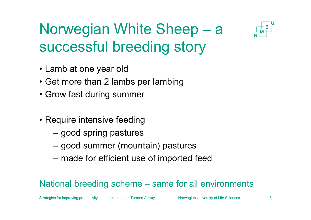

### Norwegian White Sheep – <sup>a</sup> successful breeding story

- Lamb at one year old
- Get more than 2 lambs per lambing
- Grow fast during summer
- Require intensive feeding
	- good spring pastures
	- good summer (mountain) pastures
	- made for efficient use of imported feed

### National breeding scheme – same for all environments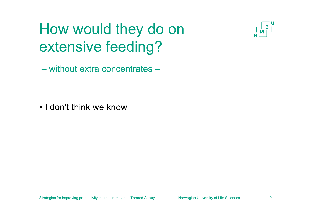## How would they do on extensive feeding?



– without extra concentrates –

• I don't think we know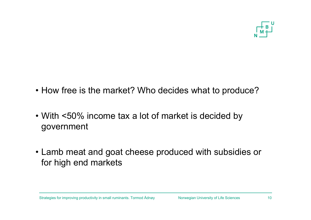

- How free is the market? Who decides what to produce?
- With <50% income tax a lot of market is decided by government
- Lamb meat and goat cheese produced with subsidies or for high end markets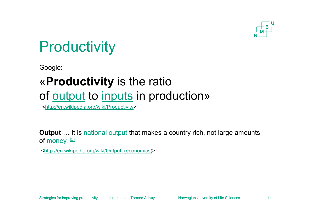

### **Productivity**

Google:

### «**Productivity** is the ratio of output to inputs in production»

<http://en.wikipedia.org/wiki/Productivity>

**Output** ... It is national output that makes a country rich, not large amounts of <u>money</u>. [3]

<http://en.wikipedia.org/wiki/Output\_(economics)>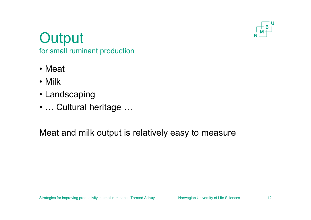

### **Output**

for small ruminant production

- Meat
- Milk
- Landscaping
- … Cultural heritage …

Meat and milk output is relatively easy to measure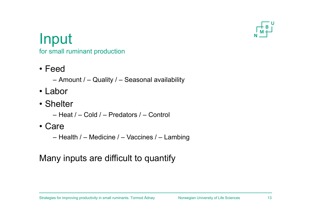

### Input

for small ruminant production

- Feed
	- Amount / Quality / Seasonal availability
- Labor
- Shelter
	- Heat / Cold / Predators / Control
- Care
	- Health / Medicine / Vaccines / Lambing

### Many inputs are difficult to quantify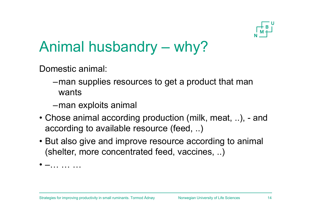

### Animal husbandry – why?

Domestic animal:

- –man supplies resources to get a product that man wants
- –man exploits animal
- Chose animal according production (milk, meat, ..), and according to available resource (feed, ..)
- But also give and improve resource according to animal (shelter, more concentrated feed, vaccines, ..)

• —… …… …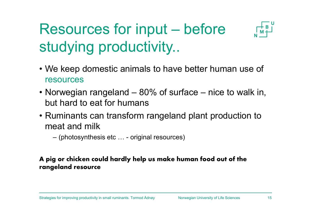## Resources for input – before studying productivity..



- We keep domestic animals to have better human use of resources
- Norwegian rangeland 80% of surface nice to walk in, but hard to eat for humans
- Ruminants can transform rangeland plant production to meat and milk
	- (photosynthesis etc … original resources)

#### **A pig or chicken could hardly help us make human food out of the rangeland resource**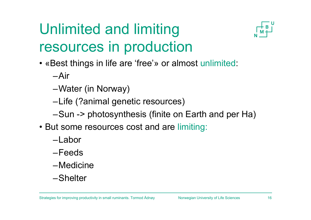## Unlimited and limiting resources in production



• «Best things in life are 'free'» or almost unlimited:

–Air

- –Water (in Norway)
- –Life (?animal genetic resources)
- –Sun -> photosynthesis (finite on Earth and per Ha)
- But some resources cost and are limiting:
	- –Labor
	- –Feeds
	- –Medicine
	- –Shelter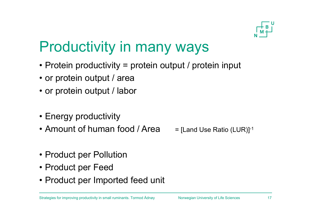

### Productivity in many ways

- Protein productivity = protein output / protein input
- or protein output / area
- or protein output / labor
- Energy productivity
- Amount of human food / Area  $=$  [Land Use Ratio (LUR)] $\cdot$ 1

- Product per Pollution
- Product per Feed
- Product per Imported feed unit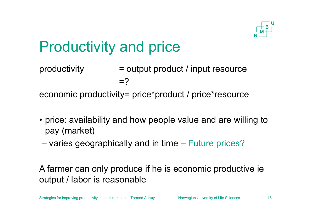

### Productivity and price

productivity = output product / input resource  $=$ ?

economic productivity= price\*product / price\*resource

- price: availability and how people value and are willing to pay (market)
- –varies geographically and in time – Future prices?

A farmer can only produce if he is economic productive ie output / labor is reasonable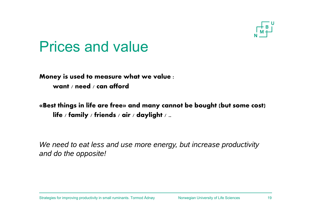

### Prices and value

**Money is used to measure what we value : want / need / can afford**

**«Best things in life are free» and many cannot be bought (but some cost) life / family / friends / air / daylight / ..**

*We need to eat less and use more energy, but increase productivity and do the opposite!*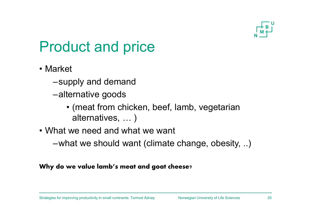

### Product and price

- Market
	- –supply and demand
	- –alternative goods
		- (meat from chicken, beef, lamb, vegetarian alternatives, … )
- What we need and what we want
	- –what we should want (climate change, obesity, ..)

#### **Why do we value lamb's meat and goat cheese?**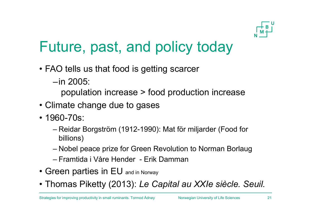

### Future, past, and policy today

- FAO tells us that food is getting scarcer
	- –in 2005:

population increase > food production increase

- Climate change due to gases
- 1960-70s:
	- Reidar Borgström (1912-1990): Mat för miljarder (Food for billions)
	- Nobel peace prize for Green Revolution to Norman Borlaug
	- Framtida i Våre Hender Erik Damman
- Green parties in EU and in Norway
- Thomas Piketty (2013): *Le Capital au XXIe siècle. Seuil.*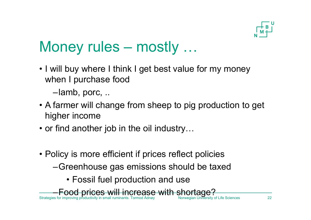

### Money rules – mostly …

• I will buy where I think I get best value for my money when I purchase food

–lamb, porc, ..

- A farmer will change from sheep to pig production to get higher income
- or find another job in the oil industry…
- Policy is more efficient if prices reflect policies
	- –Greenhouse gas emissions should be taxed
		- Fossil fuel production and use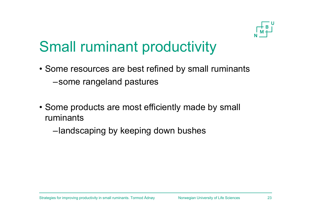

### Small ruminant productivity

- Some resources are best refined by small ruminants –some rangeland pastures
- Some products are most efficiently made by small ruminants

–landscaping by keeping down bushes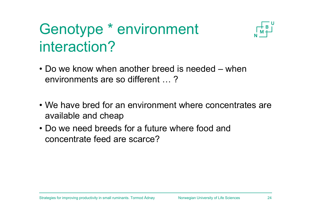### Genotype \* environment interaction?



- Do we know when another breed is needed when environments are so different … ?
- We have bred for an environment where concentrates areavailable and cheap
- Do we need breeds for a future where food and concentrate feed are scarce?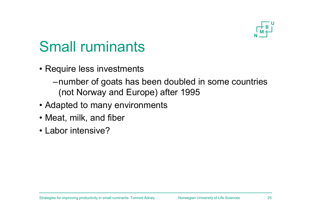

### Small ruminants

- Require less investments
	- –number of goats has been doubled in some countries (not Norway and Europe) after 1995
- Adapted to many environments
- Meat, milk, and fiber
- Labor intensive?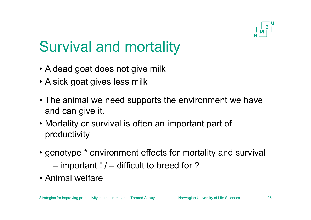

### Survival and mortality

- A dead goat does not give milk
- A sick goat gives less milk
- The animal we need supports the environment we have and can give it.
- Mortality or survival is often an important part of productivity
- genotype \* environment effects for mortality and survival important ! / – difficult to breed for ?
- Animal welfare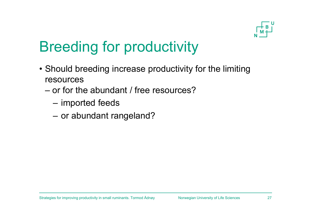

### Breeding for productivity

- Should breeding increase productivity for the limiting resources
	- or for the abundant / free resources?
		- –imported feeds
		- or abundant rangeland?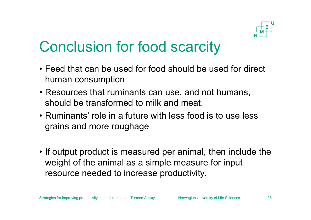

### Conclusion for food scarcity

- Feed that can be used for food should be used for direct human consumption
- Resources that ruminants can use, and not humans, should be transformed to milk and meat.
- Ruminants' role in a future with less food is to use less grains and more roughage
- If output product is measured per animal, then include the weight of the animal as a simple measure for input resource needed to increase productivity.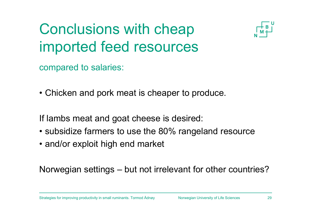## Conclusions with cheap imported feed resources



compared to salaries:

• Chicken and pork meat is cheaper to produce.

If lambs meat and goat cheese is desired:

- subsidize farmers to use the 80% rangeland resource
- and/or exploit high end market

Norwegian settings – but not irrelevant for other countries?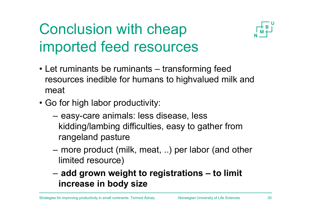## Conclusion with cheap imported feed resources



- Let ruminants be ruminants transforming feed resources inedible for humans to highvalued milk and meat
- Go for high labor productivity:
	- easy-care animals: less disease, less kidding/lambing difficulties, easy to gather from rangeland pasture
	- – more product (milk, meat, ..) per labor (and other limited resource)
	- **add grown weight to registrations – to limit increase in body size**